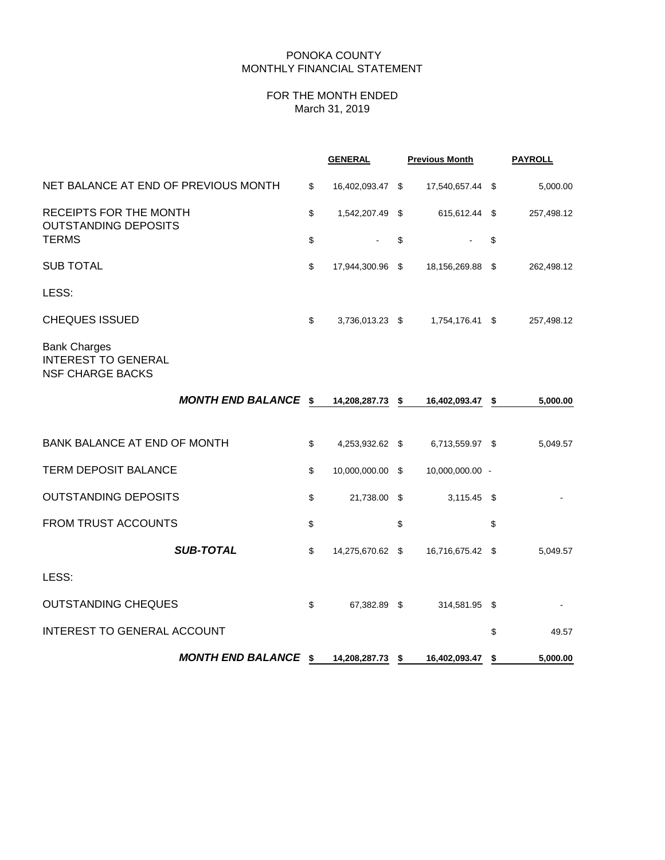## PONOKA COUNTY MONTHLY FINANCIAL STATEMENT

# FOR THE MONTH ENDED March 31, 2019

|                                                                              |    | <b>GENERAL</b>   | <b>Previous Month</b> | <b>PAYROLL</b> |
|------------------------------------------------------------------------------|----|------------------|-----------------------|----------------|
| NET BALANCE AT END OF PREVIOUS MONTH                                         | \$ | 16,402,093.47 \$ | 17,540,657.44 \$      | 5,000.00       |
| RECEIPTS FOR THE MONTH<br><b>OUTSTANDING DEPOSITS</b>                        | \$ | 1,542,207.49 \$  | 615,612.44 \$         | 257,498.12     |
| <b>TERMS</b>                                                                 |    |                  | \$                    | \$             |
| <b>SUB TOTAL</b>                                                             | \$ | 17,944,300.96 \$ | 18,156,269.88 \$      | 262,498.12     |
| LESS:                                                                        |    |                  |                       |                |
| <b>CHEQUES ISSUED</b>                                                        | \$ | 3,736,013.23 \$  | 1,754,176.41 \$       | 257,498.12     |
| <b>Bank Charges</b><br><b>INTEREST TO GENERAL</b><br><b>NSF CHARGE BACKS</b> |    |                  |                       |                |
| <b>MONTH END BALANCE \$</b>                                                  |    | 14,208,287.73 \$ | 16,402,093.47 \$      | 5,000.00       |
|                                                                              |    |                  |                       |                |
| <b>BANK BALANCE AT END OF MONTH</b>                                          | \$ | 4,253,932.62 \$  | 6,713,559.97 \$       | 5,049.57       |
| <b>TERM DEPOSIT BALANCE</b>                                                  | \$ | 10,000,000.00 \$ | 10,000,000.00 -       |                |
| <b>OUTSTANDING DEPOSITS</b>                                                  | \$ | 21,738.00 \$     | $3,115.45$ \$         |                |
| <b>FROM TRUST ACCOUNTS</b>                                                   | \$ |                  | \$                    | \$             |
| <b>SUB-TOTAL</b>                                                             | \$ | 14,275,670.62 \$ | 16,716,675.42 \$      | 5,049.57       |
| LESS:                                                                        |    |                  |                       |                |
| <b>OUTSTANDING CHEQUES</b>                                                   | \$ | 67,382.89 \$     | 314,581.95 \$         |                |
| <b>INTEREST TO GENERAL ACCOUNT</b>                                           |    |                  |                       | \$<br>49.57    |
| <b>MONTH END BALANCE \$</b>                                                  |    | 14,208,287.73 \$ | 16,402,093.47         | \$<br>5,000.00 |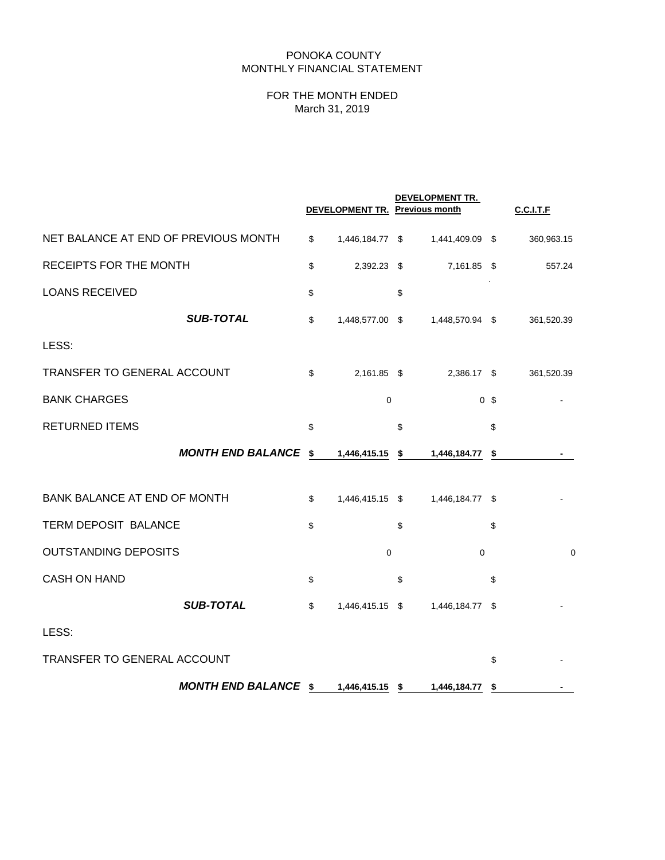# PONOKA COUNTY MONTHLY FINANCIAL STATEMENT

# FOR THE MONTH ENDED March 31, 2019

|                                      |                             | <b>DEVELOPMENT TR. Previous month</b> | DEVELOPMENT TR.    |                | <b>C.C.I.T.F</b> |
|--------------------------------------|-----------------------------|---------------------------------------|--------------------|----------------|------------------|
| NET BALANCE AT END OF PREVIOUS MONTH |                             | \$<br>1,446,184.77 \$                 | 1,441,409.09 \$    |                | 360,963.15       |
| RECEIPTS FOR THE MONTH               |                             | \$<br>2,392.23 \$                     | 7,161.85           | \$             | 557.24           |
| <b>LOANS RECEIVED</b>                |                             | \$                                    | \$                 |                |                  |
|                                      | <b>SUB-TOTAL</b>            | \$<br>1,448,577.00 \$                 | 1,448,570.94 \$    |                | 361,520.39       |
| LESS:                                |                             |                                       |                    |                |                  |
| TRANSFER TO GENERAL ACCOUNT          |                             | \$<br>2,161.85 \$                     | 2,386.17 \$        |                | 361,520.39       |
| <b>BANK CHARGES</b>                  |                             | $\mathbf 0$                           |                    | 0 <sup>5</sup> |                  |
| <b>RETURNED ITEMS</b>                |                             | \$                                    | \$                 | \$             |                  |
|                                      | <b>MONTH END BALANCE \$</b> | 1,446,415.15                          | \$<br>1,446,184.77 | \$             |                  |
| BANK BALANCE AT END OF MONTH         |                             | \$<br>1,446,415.15 \$                 | 1,446,184.77 \$    |                |                  |
| TERM DEPOSIT BALANCE                 |                             | \$                                    | \$                 | \$             |                  |
| <b>OUTSTANDING DEPOSITS</b>          |                             | $\mathbf 0$                           | $\Omega$           |                | $\mathbf 0$      |
| <b>CASH ON HAND</b>                  |                             | \$                                    | \$                 | \$             |                  |
|                                      | <b>SUB-TOTAL</b>            | \$<br>1,446,415.15 \$                 | 1,446,184.77       | \$             |                  |
| LESS:                                |                             |                                       |                    |                |                  |
| TRANSFER TO GENERAL ACCOUNT          |                             |                                       |                    | \$             |                  |
|                                      | <b>MONTH END BALANCE \$</b> | 1,446,415.15 \$                       | 1,446,184.77       | \$             |                  |